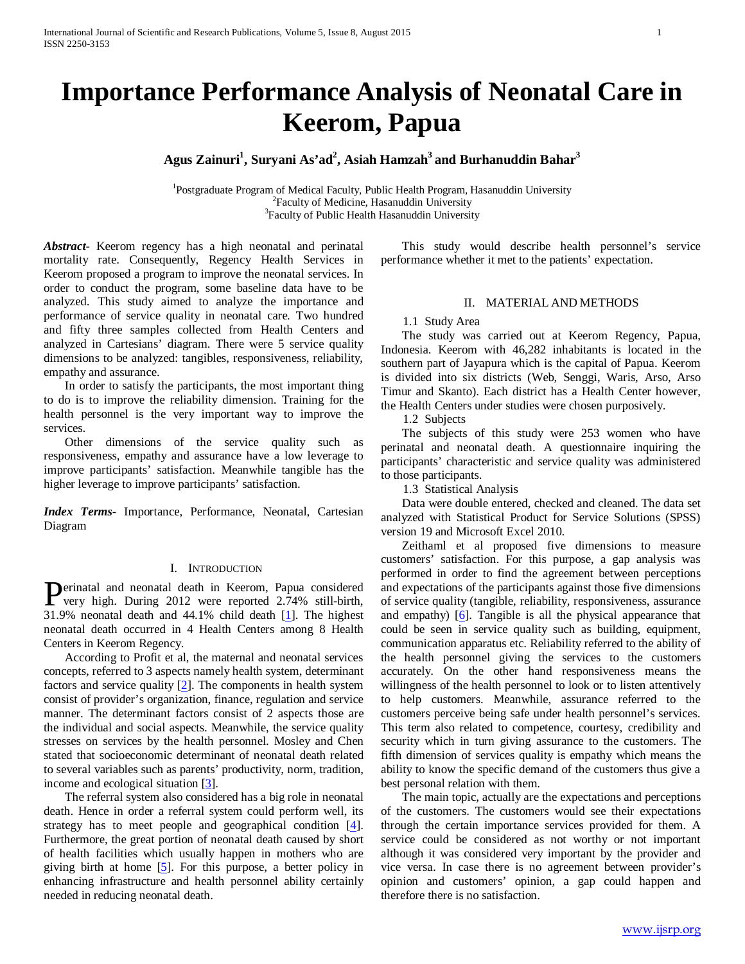# **Importance Performance Analysis of Neonatal Care in Keerom, Papua**

Agus Zainuri<sup>1</sup>, Suryani As'ad<sup>2</sup>, Asiah Hamzah<sup>3</sup> and Burhanuddin Bahar<sup>3</sup>

<sup>1</sup> Postgraduate Program of Medical Faculty, Public Health Program, Hasanuddin University <sup>2</sup> Faculty of Medicine, Hasanuddin University <sup>3</sup> Faculty of Public Health Hasanuddin University

*Abstract***-** Keerom regency has a high neonatal and perinatal mortality rate. Consequently, Regency Health Services in Keerom proposed a program to improve the neonatal services. In order to conduct the program, some baseline data have to be analyzed. This study aimed to analyze the importance and performance of service quality in neonatal care. Two hundred and fifty three samples collected from Health Centers and analyzed in Cartesians' diagram. There were 5 service quality dimensions to be analyzed: tangibles, responsiveness, reliability, empathy and assurance.

 In order to satisfy the participants, the most important thing to do is to improve the reliability dimension. Training for the health personnel is the very important way to improve the services.

 Other dimensions of the service quality such as responsiveness, empathy and assurance have a low leverage to improve participants' satisfaction. Meanwhile tangible has the higher leverage to improve participants' satisfaction.

*Index Terms*- Importance, Performance, Neonatal, Cartesian Diagram

### I. INTRODUCTION

**P**erinatal and neonatal death in Keerom, Papua considered<br>very high. During 2012 were reported 2.74% still-birth, very high. During 2012 were reported 2.74% still-birth, 31.9% neonatal death and 44.1% child death [1]. The highest neonatal death occurred in 4 Health Centers among 8 Health Centers in Keerom Regency.

 According to Profit et al, the maternal and neonatal services concepts, referred to 3 aspects namely health system, determinant factors and service quality [2]. The components in health system consist of provider's organization, finance, regulation and service manner. The determinant factors consist of 2 aspects those are the individual and social aspects. Meanwhile, the service quality stresses on services by the health personnel. Mosley and Chen stated that socioeconomic determinant of neonatal death related to several variables such as parents' productivity, norm, tradition, income and ecological situation [3].

 The referral system also considered has a big role in neonatal death. Hence in order a referral system could perform well, its strategy has to meet people and geographical condition [4]. Furthermore, the great portion of neonatal death caused by short of health facilities which usually happen in mothers who are giving birth at home  $[5]$ . For this purpose, a better policy in enhancing infrastructure and health personnel ability certainly needed in reducing neonatal death.

 This study would describe health personnel's service performance whether it met to the patients' expectation.

## II. MATERIAL AND METHODS

## 1.1 Study Area

 The study was carried out at Keerom Regency, Papua, Indonesia. Keerom with 46,282 inhabitants is located in the southern part of Jayapura which is the capital of Papua. Keerom is divided into six districts (Web, Senggi, Waris, Arso, Arso Timur and Skanto). Each district has a Health Center however, the Health Centers under studies were chosen purposively.

1.2 Subjects

 The subjects of this study were 253 women who have perinatal and neonatal death. A questionnaire inquiring the participants' characteristic and service quality was administered to those participants.

1.3 Statistical Analysis

 Data were double entered, checked and cleaned. The data set analyzed with Statistical Product for Service Solutions (SPSS) version 19 and Microsoft Excel 2010.

 Zeithaml et al proposed five dimensions to measure customers' satisfaction. For this purpose, a gap analysis was performed in order to find the agreement between perceptions and expectations of the participants against those five dimensions of service quality (tangible, reliability, responsiveness, assurance and empathy) [6]. Tangible is all the physical appearance that could be seen in service quality such as building, equipment, communication apparatus etc. Reliability referred to the ability of the health personnel giving the services to the customers accurately. On the other hand responsiveness means the willingness of the health personnel to look or to listen attentively to help customers. Meanwhile, assurance referred to the customers perceive being safe under health personnel's services. This term also related to competence, courtesy, credibility and security which in turn giving assurance to the customers. The fifth dimension of services quality is empathy which means the ability to know the specific demand of the customers thus give a best personal relation with them.

 The main topic, actually are the expectations and perceptions of the customers. The customers would see their expectations through the certain importance services provided for them. A service could be considered as not worthy or not important although it was considered very important by the provider and vice versa. In case there is no agreement between provider's opinion and customers' opinion, a gap could happen and therefore there is no satisfaction.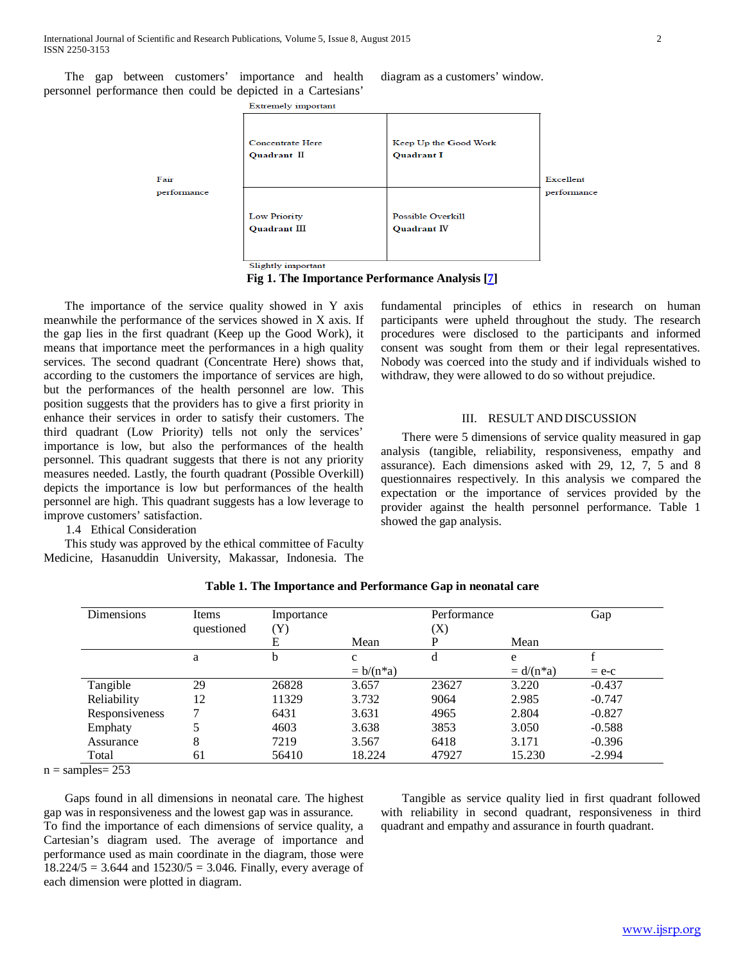The gap between customers' importance and health personnel performance then could be depicted in a Cartesians' diagram as a customers' window.

Extremely important

|             | <b>Concentrate Here</b><br>Quadrant II | Keep Up the Good Work<br><b>Quadrant I</b> |             |
|-------------|----------------------------------------|--------------------------------------------|-------------|
| Fair        |                                        |                                            | Excellent   |
| performance |                                        |                                            | performance |
|             | <b>Low Priority</b>                    | Possible Overkill                          |             |
|             | Quadrant III                           | <b>Quadrant IV</b>                         |             |
|             |                                        |                                            |             |
|             | Slightly important                     |                                            |             |

**Fig 1. The Importance Performance Analysis [7]**

 The importance of the service quality showed in Y axis meanwhile the performance of the services showed in X axis. If the gap lies in the first quadrant (Keep up the Good Work), it means that importance meet the performances in a high quality services. The second quadrant (Concentrate Here) shows that, according to the customers the importance of services are high, but the performances of the health personnel are low. This position suggests that the providers has to give a first priority in enhance their services in order to satisfy their customers. The third quadrant (Low Priority) tells not only the services' importance is low, but also the performances of the health personnel. This quadrant suggests that there is not any priority measures needed. Lastly, the fourth quadrant (Possible Overkill) depicts the importance is low but performances of the health personnel are high. This quadrant suggests has a low leverage to improve customers' satisfaction.

1.4 Ethical Consideration

 This study was approved by the ethical committee of Faculty Medicine, Hasanuddin University, Makassar, Indonesia. The fundamental principles of ethics in research on human participants were upheld throughout the study. The research procedures were disclosed to the participants and informed consent was sought from them or their legal representatives. Nobody was coerced into the study and if individuals wished to withdraw, they were allowed to do so without prejudice.

#### III. RESULT AND DISCUSSION

 There were 5 dimensions of service quality measured in gap analysis (tangible, reliability, responsiveness, empathy and assurance). Each dimensions asked with 29, 12, 7, 5 and 8 questionnaires respectively. In this analysis we compared the expectation or the importance of services provided by the provider against the health personnel performance. Table 1 showed the gap analysis.

| <b>Dimensions</b> | Items      | Importance |              | Performance |               | Gap      |
|-------------------|------------|------------|--------------|-------------|---------------|----------|
|                   | questioned | (Y)        |              | (X)         |               |          |
|                   |            | E          | Mean         | P           | Mean          |          |
|                   | a          | b          | $\mathbf{C}$ | d           | e             |          |
|                   |            |            | $= b/(n^*a)$ |             | $= d/(n * a)$ | $= e-c$  |
| Tangible          | 29         | 26828      | 3.657        | 23627       | 3.220         | $-0.437$ |
| Reliability       | 12         | 11329      | 3.732        | 9064        | 2.985         | $-0.747$ |
| Responsiveness    |            | 6431       | 3.631        | 4965        | 2.804         | $-0.827$ |
| Emphaty           |            | 4603       | 3.638        | 3853        | 3.050         | $-0.588$ |
| Assurance         | 8          | 7219       | 3.567        | 6418        | 3.171         | $-0.396$ |
| Total             | 61         | 56410      | 18.224       | 47927       | 15.230        | $-2.994$ |

| Table 1. The Importance and Performance Gap in neonatal care |  |
|--------------------------------------------------------------|--|
|--------------------------------------------------------------|--|

 $n =$ samples=  $253$ 

 Gaps found in all dimensions in neonatal care. The highest gap was in responsiveness and the lowest gap was in assurance. To find the importance of each dimensions of service quality, a Cartesian's diagram used. The average of importance and performance used as main coordinate in the diagram, those were  $18.224/5 = 3.644$  and  $15230/5 = 3.046$ . Finally, every average of each dimension were plotted in diagram.

 Tangible as service quality lied in first quadrant followed with reliability in second quadrant, responsiveness in third quadrant and empathy and assurance in fourth quadrant.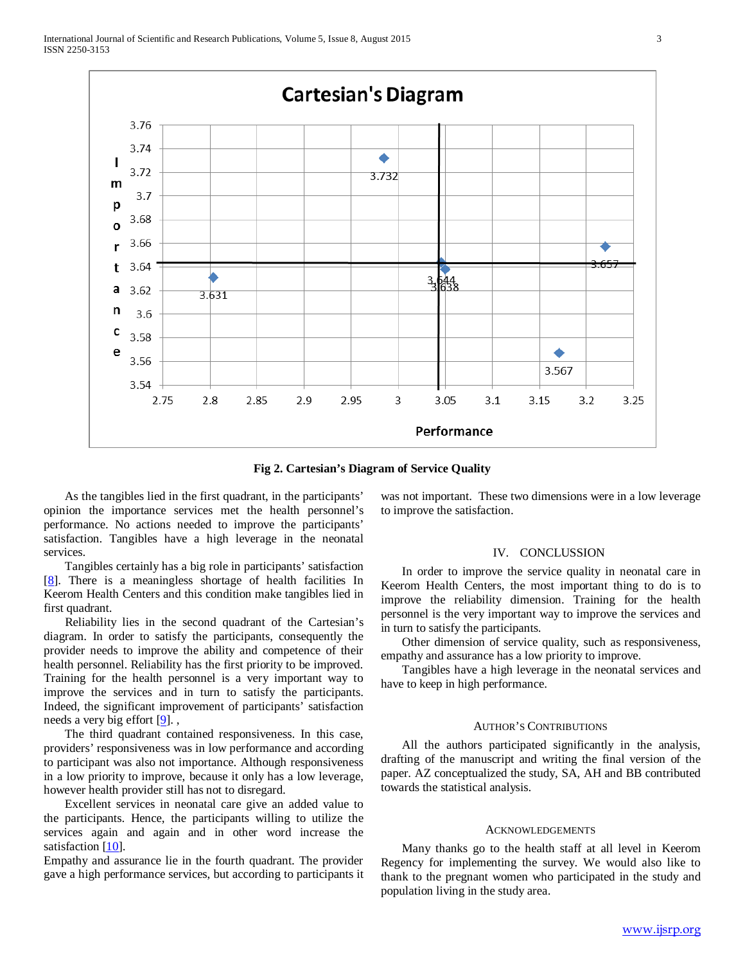

**Fig 2. Cartesian's Diagram of Service Quality**

 As the tangibles lied in the first quadrant, in the participants' opinion the importance services met the health personnel's performance. No actions needed to improve the participants' satisfaction. Tangibles have a high leverage in the neonatal services.

 Tangibles certainly has a big role in participants' satisfaction [8]. There is a meaningless shortage of health facilities In Keerom Health Centers and this condition make tangibles lied in first quadrant.

 Reliability lies in the second quadrant of the Cartesian's diagram. In order to satisfy the participants, consequently the provider needs to improve the ability and competence of their health personnel. Reliability has the first priority to be improved. Training for the health personnel is a very important way to improve the services and in turn to satisfy the participants. Indeed, the significant improvement of participants' satisfaction needs a very big effort  $[9]$ .,

 The third quadrant contained responsiveness. In this case, providers' responsiveness was in low performance and according to participant was also not importance. Although responsiveness in a low priority to improve, because it only has a low leverage, however health provider still has not to disregard.

 Excellent services in neonatal care give an added value to the participants. Hence, the participants willing to utilize the services again and again and in other word increase the satisfaction [10].

Empathy and assurance lie in the fourth quadrant. The provider gave a high performance services, but according to participants it was not important. These two dimensions were in a low leverage to improve the satisfaction.

#### IV. CONCLUSSION

 In order to improve the service quality in neonatal care in Keerom Health Centers, the most important thing to do is to improve the reliability dimension. Training for the health personnel is the very important way to improve the services and in turn to satisfy the participants.

 Other dimension of service quality, such as responsiveness, empathy and assurance has a low priority to improve.

 Tangibles have a high leverage in the neonatal services and have to keep in high performance.

#### AUTHOR'S CONTRIBUTIONS

 All the authors participated significantly in the analysis, drafting of the manuscript and writing the final version of the paper. AZ conceptualized the study, SA, AH and BB contributed towards the statistical analysis.

#### ACKNOWLEDGEMENTS

 Many thanks go to the health staff at all level in Keerom Regency for implementing the survey. We would also like to thank to the pregnant women who participated in the study and population living in the study area.